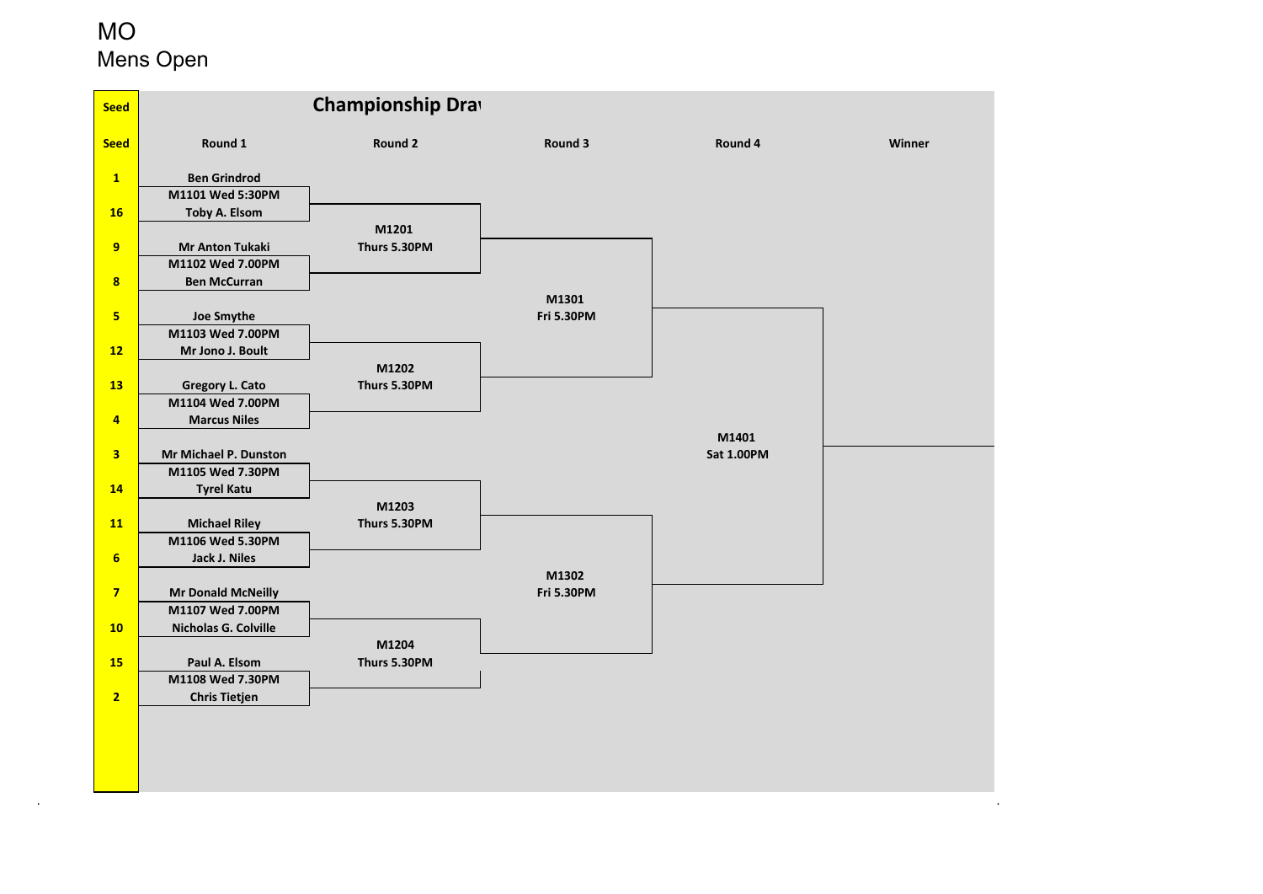# MOMens Open

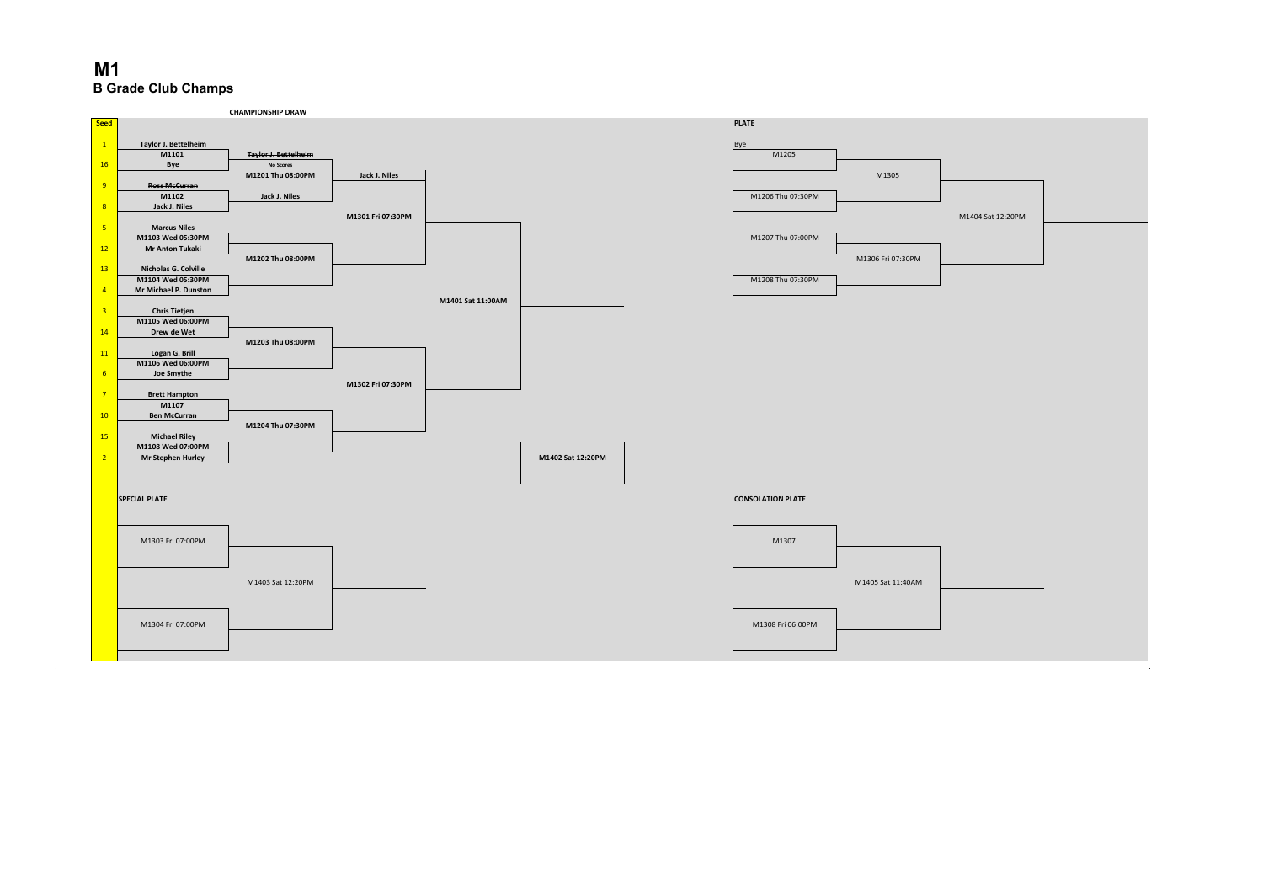

. A construction of the construction of the construction of the construction of the construction of the construction of the construction of the construction of the construction of the construction of the construction of th

#### **M1B Grade Club Champs**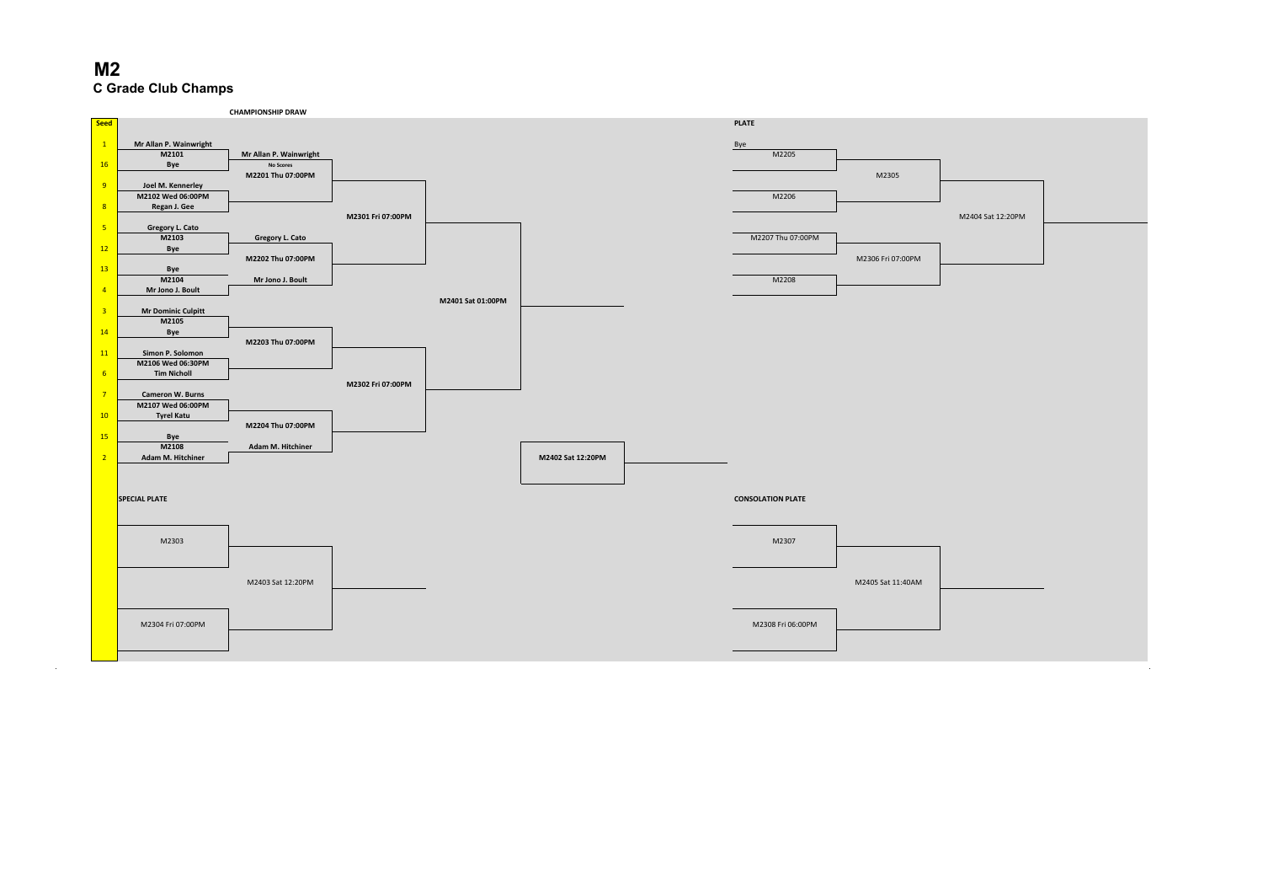

. A construction of the construction of the construction of the construction of the construction of the construction of the construction of the construction of the construction of the construction of the construction of th

#### **M2C Grade Club Champs**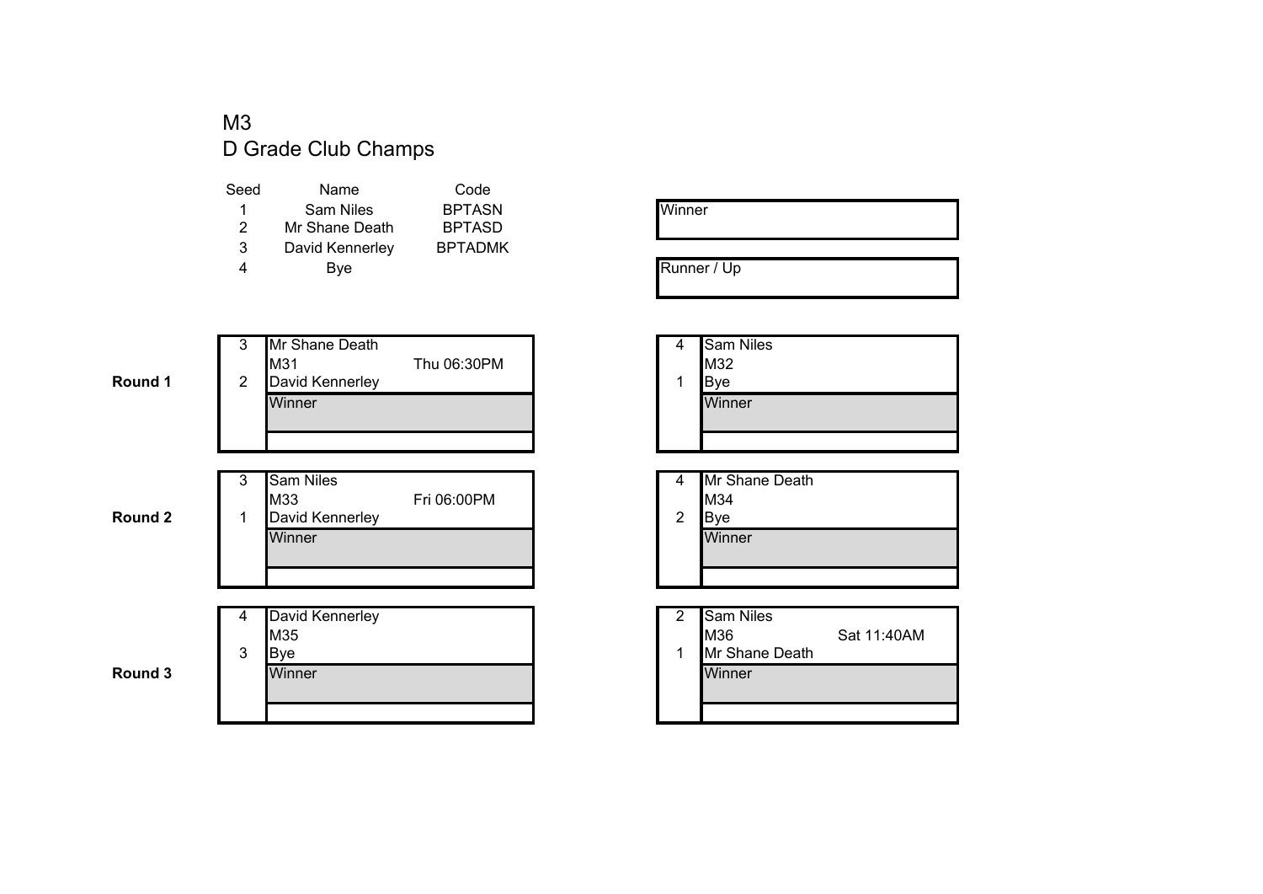#### M3D Grade Club Champs

| Name            | Code           |
|-----------------|----------------|
| Sam Niles       | <b>BPTASN</b>  |
| Mr Shane Death  | <b>BPTASD</b>  |
| David Kennerley | <b>BPTADMK</b> |
| Bye             |                |
|                 |                |

| Winner |  |  |
|--------|--|--|
|        |  |  |

Runner / Up

| 4 | Sam Niles |
|---|-----------|
|   | M32       |
| 1 | Bye       |
|   | Winner    |
|   |           |
|   |           |

| 4 | Mr Shane Death |
|---|----------------|
|   | M34            |
| 2 | IBve           |
|   |                |

| vid Kennerley |  | <b>Sam Niles</b> |             |  |
|---------------|--|------------------|-------------|--|
| 5             |  | <b>M36</b>       | Sat 11:40AM |  |
|               |  | Mr Shane Death   |             |  |
| าner          |  | Winner           |             |  |
|               |  |                  |             |  |
|               |  |                  |             |  |

#### 3 Mr Shane Death<br>M31 Thu 06:30PM 2 David Kennerley **Winner** r and the state of the state of the state of the state of the Minner

|   | 3 | <b>Sam Niles</b> |             |   | Mr Shane Death |
|---|---|------------------|-------------|---|----------------|
|   |   | <b>M33</b>       | Fri 06:00PM |   | <b>M34</b>     |
| 2 |   | David Kennerley  |             | ◠ | Bve            |
|   |   | Winner           |             |   | <b>Winner</b>  |
|   |   |                  |             |   |                |
|   |   |                  |             |   |                |

|   |   | David Kennerley | ◠ | <b>Sam Niles</b> |
|---|---|-----------------|---|------------------|
|   |   | M35             |   | <b>M36</b>       |
|   | 3 | <b>B</b> ve     |   | Mr Shane Death   |
| 3 |   | Winner          |   | Winner           |
|   |   |                 |   |                  |
|   |   |                 |   |                  |

**Round 3**

**Round 1**

**Round 2**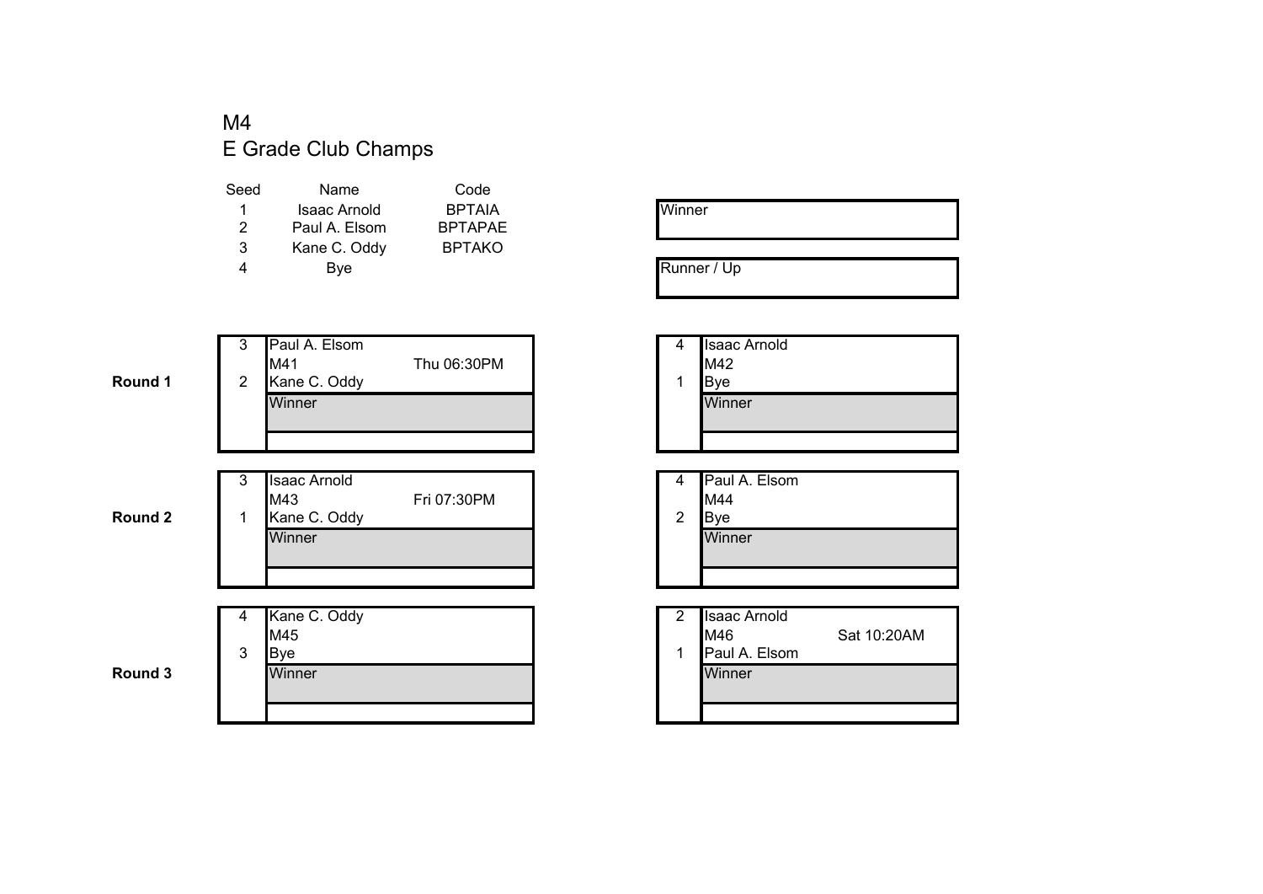#### M4E Grade Club Champs

| Name          | Code           |
|---------------|----------------|
| Isaac Arnold  | <b>BPTAIA</b>  |
| Paul A. Elsom | <b>BPTAPAE</b> |
| Kane C. Oddy  | <b>BPTAKO</b>  |
| Bye           |                |
|               |                |

| Winner |  |  |  |
|--------|--|--|--|
|        |  |  |  |

Runner / Up

| 4 | <b>Isaac Arnold</b> |
|---|---------------------|
|   | M42                 |
|   | Bye                 |
|   | Winner              |
|   |                     |

| 4              | Paul A. Elsom |
|----------------|---------------|
|                | M44           |
| $\overline{2}$ | Bye           |
|                | Winner        |
|                |               |
|                |               |

| he C. Oddy |  | <b>Isaac Arnold</b> |             |
|------------|--|---------------------|-------------|
| 5          |  | M46                 | Sat 10:20AM |
|            |  | Paul A. Elsom       |             |
| าner       |  | Winner              |             |
|            |  |                     |             |
|            |  |                     |             |

**Round 1**

|   | 3 | Paul A. Elsom |             | 4 | <b>Isaac Arnold</b>                          |
|---|---|---------------|-------------|---|----------------------------------------------|
|   |   | M41           | Thu 06:30PM |   | M42                                          |
| 1 | 2 | Kane C. Oddy  |             | 1 | <b>B</b> ve                                  |
|   |   | Winner        |             |   | Winner                                       |
|   |   |               |             |   |                                              |
|   |   |               |             |   |                                              |
|   |   |               |             |   |                                              |
|   | ◠ | Llogge Arnold |             |   | $\mathsf{In}$ and $\mathsf{A}$ $\mathsf{In}$ |

|        | 2<br>J | ∎Isaac Arnold |             | 4 | <b>IP</b> aul A. |
|--------|--------|---------------|-------------|---|------------------|
|        |        | IM43          | Fri 07:30PM |   | <b>M44</b>       |
| ◠<br>∠ |        | Kane C. Oddy  |             | ◠ | Bve              |
|        |        | Winner        |             |   | Winner           |
|        |        |               |             |   |                  |
|        |        |               |             |   |                  |

|   | 4 | Kane C. Oddy  | っ | <b>Isaac Arnold</b> |
|---|---|---------------|---|---------------------|
|   |   | M45           |   | M46                 |
|   | 3 | Bve           |   | Paul A. Elsom       |
| 3 |   | <b>Winner</b> |   | Winner              |
|   |   |               |   |                     |
|   |   |               |   |                     |

**Round 3**

**Round 2**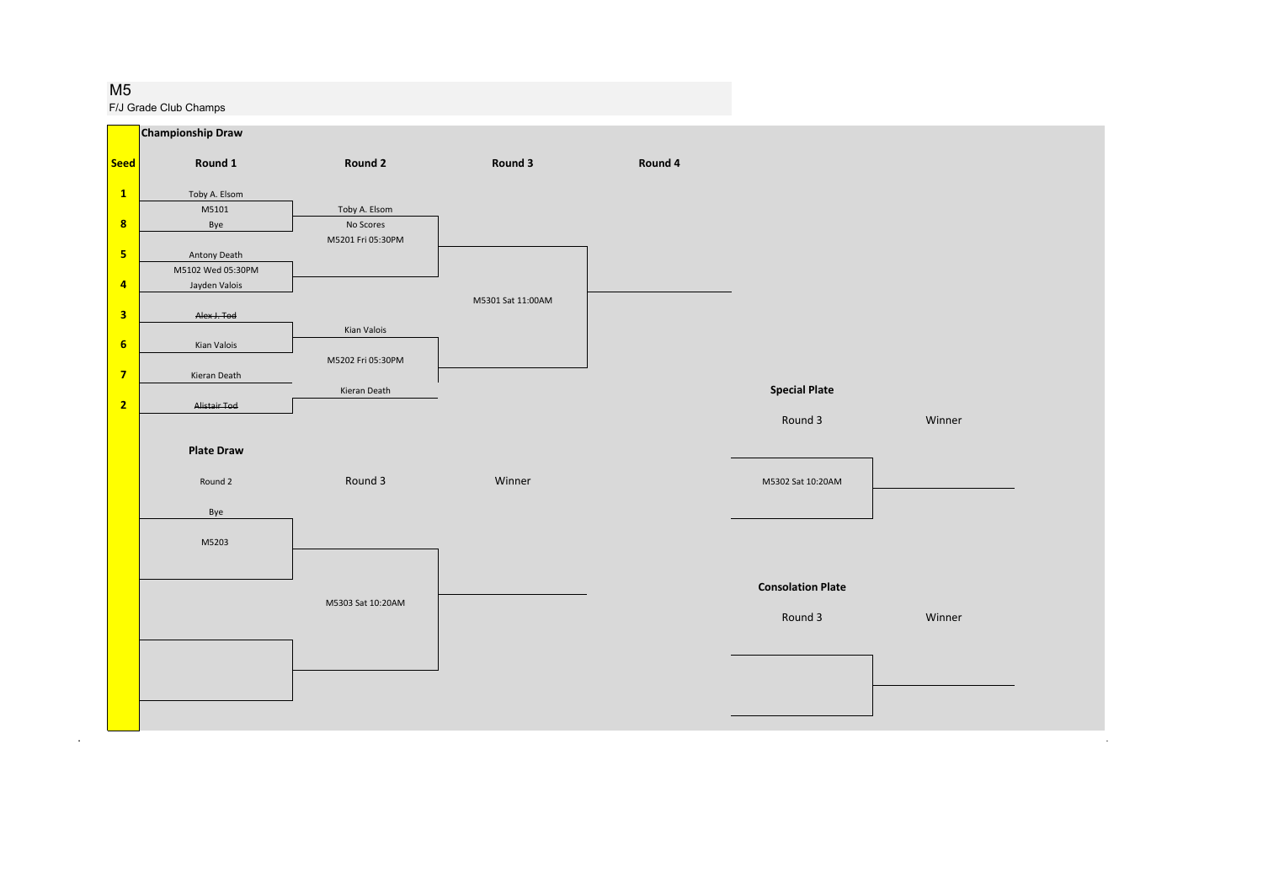#### M5

.

F/J Grade Club Champs

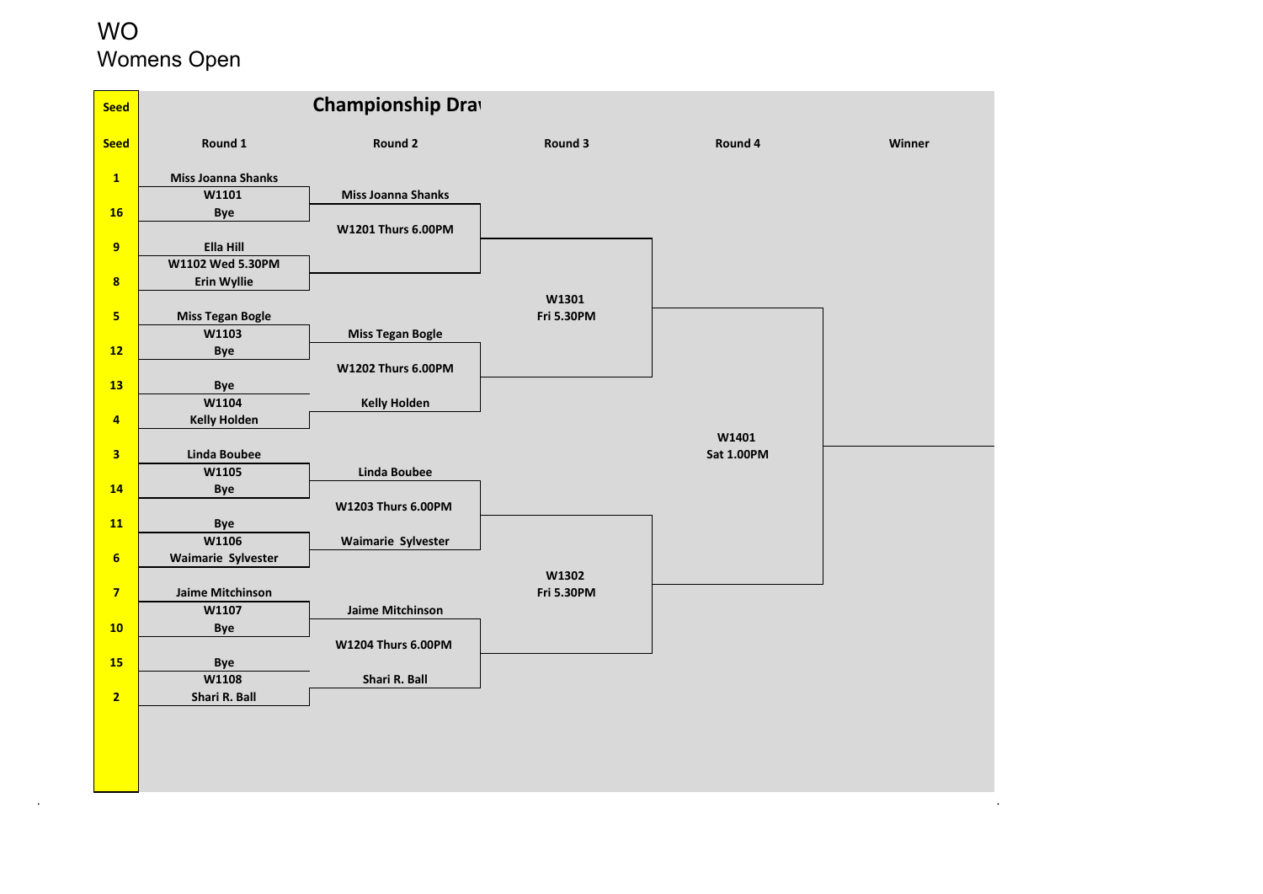#### **WO** Womens Open

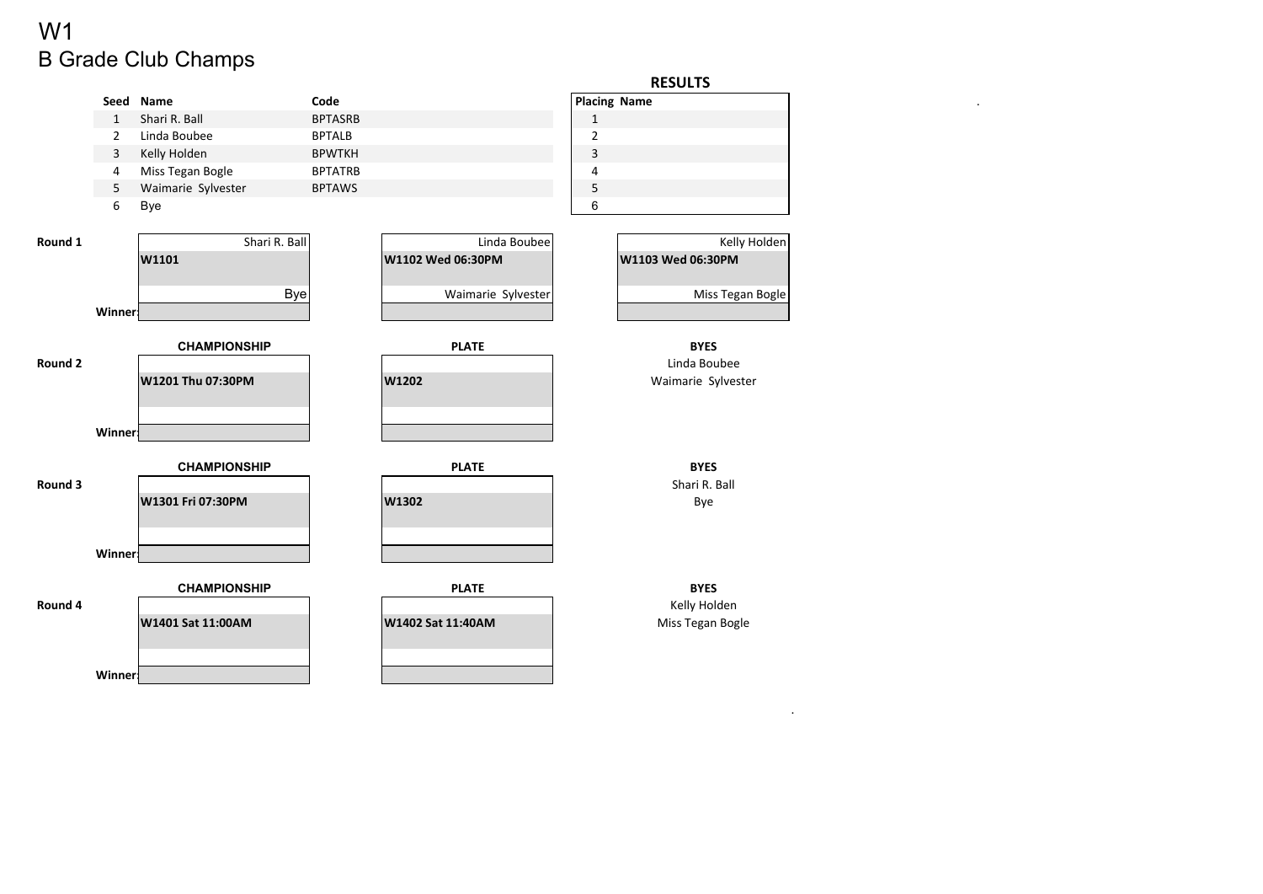# B Grade Club Champs W1

|         |                |                     |                |                    |                | <b>RESULTS</b>      |
|---------|----------------|---------------------|----------------|--------------------|----------------|---------------------|
|         | Seed           | Name                | Code           |                    |                | <b>Placing Name</b> |
|         | $\mathbf{1}$   | Shari R. Ball       | <b>BPTASRB</b> |                    | $\mathbf{1}$   |                     |
|         | $\overline{2}$ | Linda Boubee        | <b>BPTALB</b>  |                    | $\overline{2}$ |                     |
|         | 3              | Kelly Holden        | <b>BPWTKH</b>  |                    | $\mathsf 3$    |                     |
|         | 4              | Miss Tegan Bogle    | <b>BPTATRB</b> |                    | 4              |                     |
|         | 5              | Waimarie Sylvester  | <b>BPTAWS</b>  |                    | $\mathsf S$    |                     |
|         | 6              | Bye                 |                |                    | $\,6\,$        |                     |
|         |                |                     |                |                    |                |                     |
| Round 1 |                | Shari R. Ball       |                | Linda Boubee       |                | Kelly Holden        |
|         |                | W1101               |                | W1102 Wed 06:30PM  |                | W1103 Wed 06:30PM   |
|         |                |                     |                |                    |                |                     |
|         |                | <b>Bye</b>          |                | Waimarie Sylvester |                | Miss Tegan Bogle    |
|         | <b>Winner:</b> |                     |                |                    |                |                     |
|         |                |                     |                |                    |                |                     |
|         |                | <b>CHAMPIONSHIP</b> |                | <b>PLATE</b>       |                | <b>BYES</b>         |
| Round 2 |                | W1201 Thu 07:30PM   |                | W1202              |                | Linda Boubee        |
|         |                |                     |                |                    |                | Waimarie Sylvester  |
|         |                |                     |                |                    |                |                     |
|         | <b>Winner:</b> |                     |                |                    |                |                     |
|         |                |                     |                |                    |                |                     |
|         |                | <b>CHAMPIONSHIP</b> |                | <b>PLATE</b>       |                | <b>BYES</b>         |
| Round 3 |                |                     |                |                    |                | Shari R. Ball       |
|         |                | W1301 Fri 07:30PM   |                | W1302              |                | Bye                 |
|         |                |                     |                |                    |                |                     |
|         |                |                     |                |                    |                |                     |
|         | <b>Winner:</b> |                     |                |                    |                |                     |
|         |                |                     |                |                    |                |                     |
|         |                | <b>CHAMPIONSHIP</b> |                | <b>PLATE</b>       |                | <b>BYES</b>         |
| Round 4 |                |                     |                |                    |                | Kelly Holden        |
|         |                | W1401 Sat 11:00AM   |                | W1402 Sat 11:40AM  |                | Miss Tegan Bogle    |
|         |                |                     |                |                    |                |                     |
|         |                |                     |                |                    |                |                     |
|         | Winner!        |                     |                |                    |                |                     |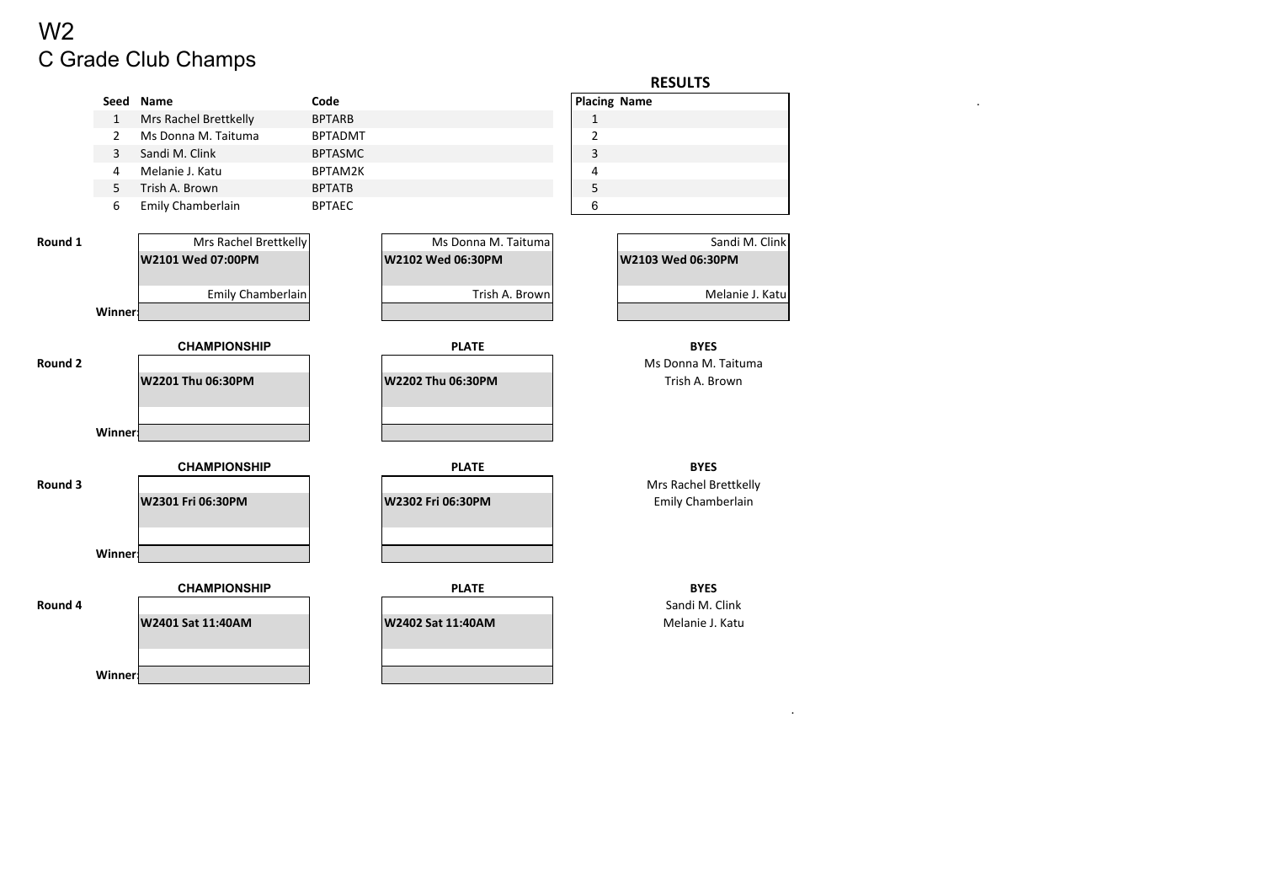# C Grade Club Champs W2

**Winner:**

|         |                |                       |                |                     |                | <b>RESULTS</b>        |
|---------|----------------|-----------------------|----------------|---------------------|----------------|-----------------------|
|         |                | Seed Name             | Code           |                     |                | <b>Placing Name</b>   |
|         | $\mathbf{1}$   | Mrs Rachel Brettkelly | <b>BPTARB</b>  |                     | $\mathbf{1}$   |                       |
|         | $\overline{2}$ | Ms Donna M. Taituma   | <b>BPTADMT</b> |                     | $\overline{2}$ |                       |
|         | 3              | Sandi M. Clink        | <b>BPTASMC</b> |                     | $\mathsf 3$    |                       |
|         | 4              | Melanie J. Katu       | BPTAM2K        |                     | 4              |                       |
|         | 5              | Trish A. Brown        | <b>BPTATB</b>  |                     | 5              |                       |
|         | 6              | Emily Chamberlain     | <b>BPTAEC</b>  |                     | 6              |                       |
| Round 1 |                | Mrs Rachel Brettkelly |                | Ms Donna M. Taituma |                | Sandi M. Clink        |
|         |                | W2101 Wed 07:00PM     |                | W2102 Wed 06:30PM   |                | W2103 Wed 06:30PM     |
|         |                |                       |                |                     |                |                       |
|         |                | Emily Chamberlain     |                | Trish A. Brown      |                | Melanie J. Katu       |
|         | <b>Winner:</b> |                       |                |                     |                |                       |
|         |                |                       |                |                     |                |                       |
|         |                | <b>CHAMPIONSHIP</b>   |                | <b>PLATE</b>        |                | <b>BYES</b>           |
| Round 2 |                |                       |                |                     |                | Ms Donna M. Taituma   |
|         |                | W2201 Thu 06:30PM     |                | W2202 Thu 06:30PM   |                | Trish A. Brown        |
|         |                |                       |                |                     |                |                       |
|         |                |                       |                |                     |                |                       |
|         | <b>Winner:</b> |                       |                |                     |                |                       |
|         |                | <b>CHAMPIONSHIP</b>   |                | <b>PLATE</b>        |                | <b>BYES</b>           |
| Round 3 |                |                       |                |                     |                | Mrs Rachel Brettkelly |
|         |                | W2301 Fri 06:30PM     |                | W2302 Fri 06:30PM   |                | Emily Chamberlain     |
|         |                |                       |                |                     |                |                       |
|         |                |                       |                |                     |                |                       |
|         | Winner         |                       |                |                     |                |                       |
|         |                |                       |                |                     |                |                       |
|         |                | <b>CHAMPIONSHIP</b>   |                | <b>PLATE</b>        |                | <b>BYES</b>           |
| Round 4 |                |                       |                |                     |                | Sandi M. Clink        |
|         |                | W2401 Sat 11:40AM     |                | W2402 Sat 11:40AM   |                | Melanie J. Katu       |
|         |                |                       |                |                     |                |                       |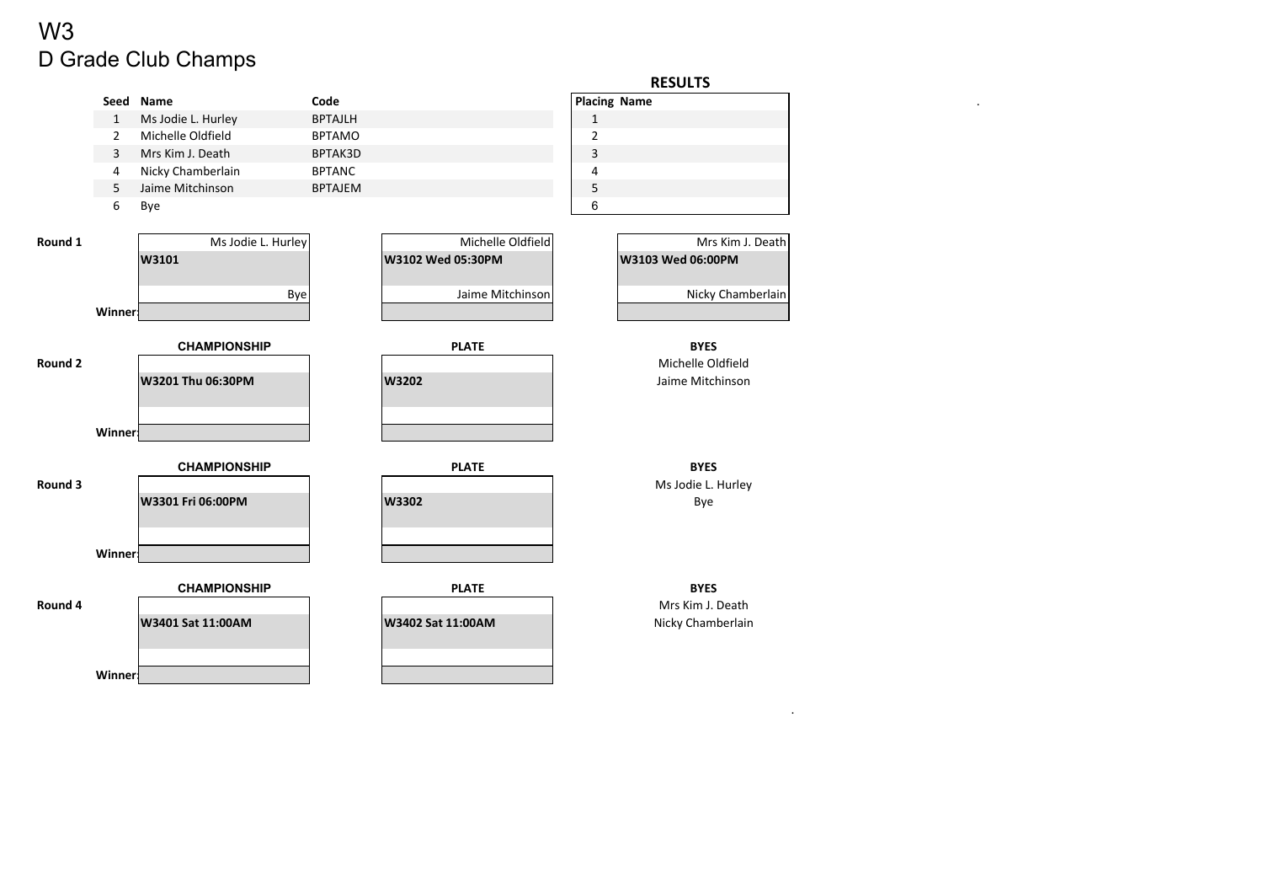# D Grade Club Champs W3

|         |                |                     |                |                   |                         | <b>RESULTS</b>                        |
|---------|----------------|---------------------|----------------|-------------------|-------------------------|---------------------------------------|
|         | Seed           | Name                | Code           |                   | <b>Placing Name</b>     |                                       |
|         | $\mathbf{1}$   | Ms Jodie L. Hurley  | <b>BPTAJLH</b> |                   | $\mathbf{1}$            |                                       |
|         | $\overline{2}$ | Michelle Oldfield   | <b>BPTAMO</b>  |                   | $\overline{2}$          |                                       |
|         | $\overline{3}$ | Mrs Kim J. Death    | BPTAK3D        |                   | $\mathsf 3$             |                                       |
|         | 4              | Nicky Chamberlain   | <b>BPTANC</b>  |                   | $\overline{\mathbf{4}}$ |                                       |
|         | 5              | Jaime Mitchinson    | <b>BPTAJEM</b> |                   | $\mathsf S$             |                                       |
|         | 6              | Bye                 |                |                   | 6                       |                                       |
|         |                |                     |                |                   |                         |                                       |
| Round 1 |                | Ms Jodie L. Hurley  |                | Michelle Oldfield |                         | Mrs Kim J. Death                      |
|         |                | W3101               |                | W3102 Wed 05:30PM |                         | W3103 Wed 06:00PM                     |
|         |                |                     |                |                   |                         |                                       |
|         |                | <b>Bye</b>          |                | Jaime Mitchinson  |                         | Nicky Chamberlain                     |
|         | Winner:        |                     |                |                   |                         |                                       |
|         |                |                     |                |                   |                         |                                       |
|         |                | <b>CHAMPIONSHIP</b> |                | <b>PLATE</b>      |                         | <b>BYES</b>                           |
| Round 2 |                |                     |                |                   |                         | Michelle Oldfield<br>Jaime Mitchinson |
|         |                | W3201 Thu 06:30PM   |                | W3202             |                         |                                       |
|         |                |                     |                |                   |                         |                                       |
|         | Winner         |                     |                |                   |                         |                                       |
|         |                |                     |                |                   |                         |                                       |
|         |                | <b>CHAMPIONSHIP</b> |                | <b>PLATE</b>      |                         | <b>BYES</b>                           |
| Round 3 |                |                     |                |                   |                         | Ms Jodie L. Hurley                    |
|         |                | W3301 Fri 06:00PM   |                | W3302             |                         | Bye                                   |
|         |                |                     |                |                   |                         |                                       |
|         |                |                     |                |                   |                         |                                       |
|         | <b>Winner:</b> |                     |                |                   |                         |                                       |
|         |                |                     |                |                   |                         |                                       |
|         |                | <b>CHAMPIONSHIP</b> |                | <b>PLATE</b>      |                         | <b>BYES</b>                           |
| Round 4 |                |                     |                |                   |                         | Mrs Kim J. Death                      |
|         |                | W3401 Sat 11:00AM   |                | W3402 Sat 11:00AM |                         | Nicky Chamberlain                     |
|         |                |                     |                |                   |                         |                                       |
|         |                |                     |                |                   |                         |                                       |
|         | <b>Winner!</b> |                     |                |                   |                         |                                       |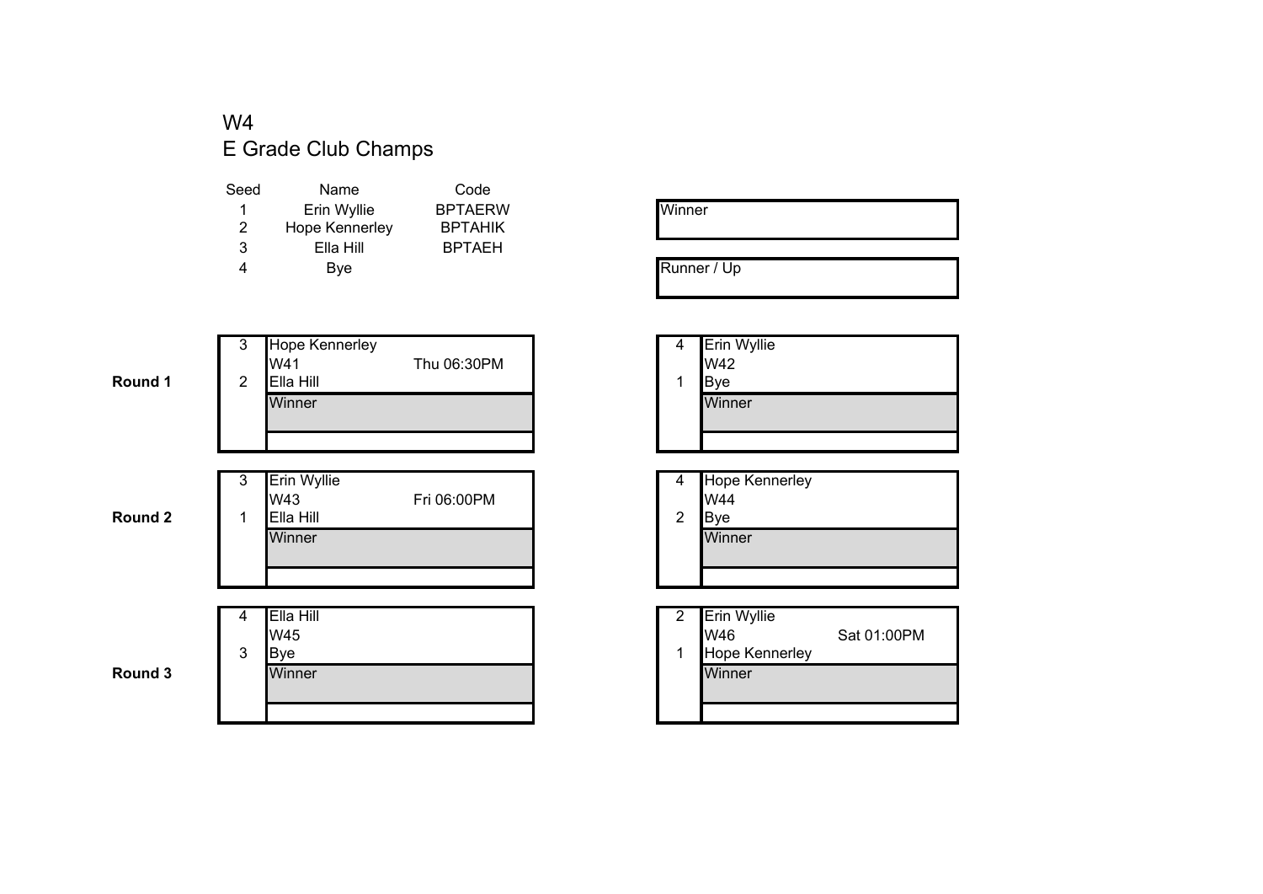#### W4E Grade Club Champs

| Seed | Name           | Code           |
|------|----------------|----------------|
| 1    | Erin Wyllie    | <b>BPTAERW</b> |
| 2    | Hope Kennerley | <b>BPTAHIK</b> |
| 3    | Ella Hill      | <b>BPTAEH</b>  |
| 4    | Bye            |                |
|      |                |                |

| Winner |  |  |
|--------|--|--|
|        |  |  |

Runner / Up

| <b>Erin Wyllie</b><br>W42 |
|---------------------------|
| Bye                       |
| Winner                    |
|                           |

| 4 | <b>Hope Kennerley</b> |
|---|-----------------------|
|   | W44                   |
| 2 | lB∨e                  |
|   | Winner                |

| ı Hill<br>5 |  | <b>Erin Wyllie</b><br>W46 | Sat 01:00PM |
|-------------|--|---------------------------|-------------|
|             |  | Hope Kennerley            |             |
| ıner        |  | Winner                    |             |
|             |  |                           |             |

**Round 1**

| 1 | 3<br>2 | Hope Kennerley<br>W41<br>Ella Hill<br>Winner | Thu 06:30PM                                          | 4 | <b>Erin Wyllie</b><br>W42<br>Bye<br>Winner |
|---|--------|----------------------------------------------|------------------------------------------------------|---|--------------------------------------------|
|   | 3      | Erin Wyllie<br><b></b>                       | $\Gamma$ : $\sim$ $\sim$ $\sim$ $\sim$ $\sim$ $\sim$ | 4 | <b>Hope Kennerley</b><br>.                 |

**Round 2**

**Round 3**

| W44    |
|--------|
|        |
| Bve    |
| Winner |
|        |
|        |
|        |

|   |   | Ella Hill   | ົ | <b>Erin Wyllie</b>    |
|---|---|-------------|---|-----------------------|
|   |   | W45         |   | W46                   |
|   | 3 | <b>B</b> ve |   | <b>Hope Kennerley</b> |
| 3 |   | Winner      |   | Winner                |
|   |   |             |   |                       |
|   |   |             |   |                       |